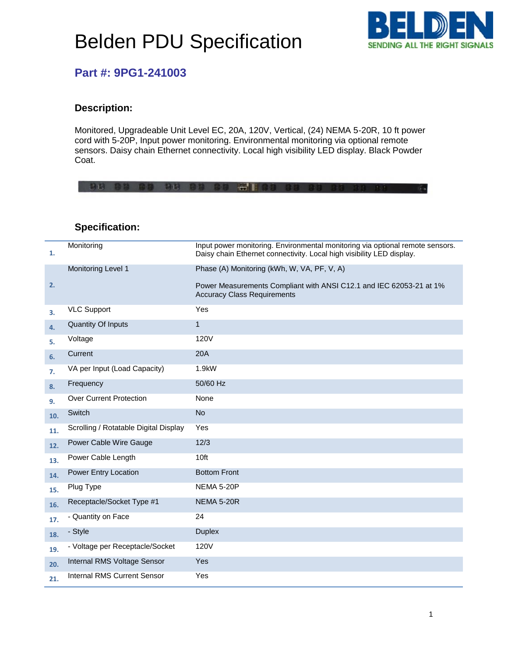# Belden PDU Specification



### **Part #: 9PG1-241003**

#### **Description:**

Monitored, Upgradeable Unit Level EC, 20A, 120V, Vertical, (24) NEMA 5-20R, 10 ft power cord with 5-20P, Input power monitoring. Environmental monitoring via optional remote sensors. Daisy chain Ethernet connectivity. Local high visibility LED display. Black Powder Coat.

|  |  |  | 80 88 88 80 88 88 88 58 88 88 88 88 8 |  |  |  |
|--|--|--|---------------------------------------|--|--|--|
|  |  |  |                                       |  |  |  |
|  |  |  |                                       |  |  |  |

| 1.  | Monitoring                            | Input power monitoring. Environmental monitoring via optional remote sensors.<br>Daisy chain Ethernet connectivity. Local high visibility LED display. |
|-----|---------------------------------------|--------------------------------------------------------------------------------------------------------------------------------------------------------|
|     | Monitoring Level 1                    | Phase (A) Monitoring (kWh, W, VA, PF, V, A)                                                                                                            |
| 2.  |                                       | Power Measurements Compliant with ANSI C12.1 and IEC 62053-21 at 1%<br><b>Accuracy Class Requirements</b>                                              |
| 3.  | <b>VLC Support</b>                    | Yes                                                                                                                                                    |
| 4.  | <b>Quantity Of Inputs</b>             | $\mathbf{1}$                                                                                                                                           |
| 5.  | Voltage                               | 120V                                                                                                                                                   |
| 6.  | Current                               | 20A                                                                                                                                                    |
| 7.  | VA per Input (Load Capacity)          | 1.9kW                                                                                                                                                  |
| 8.  | Frequency                             | 50/60 Hz                                                                                                                                               |
| 9.  | <b>Over Current Protection</b>        | None                                                                                                                                                   |
| 10. | Switch                                | <b>No</b>                                                                                                                                              |
| 11. | Scrolling / Rotatable Digital Display | Yes                                                                                                                                                    |
| 12. | Power Cable Wire Gauge                | 12/3                                                                                                                                                   |
| 13. | Power Cable Length                    | 10ft                                                                                                                                                   |
| 14. | Power Entry Location                  | <b>Bottom Front</b>                                                                                                                                    |
| 15. | Plug Type                             | <b>NEMA 5-20P</b>                                                                                                                                      |
| 16. | Receptacle/Socket Type #1             | <b>NEMA 5-20R</b>                                                                                                                                      |
| 17. | - Quantity on Face                    | 24                                                                                                                                                     |
| 18. | - Style                               | <b>Duplex</b>                                                                                                                                          |
| 19. | - Voltage per Receptacle/Socket       | 120V                                                                                                                                                   |
| 20. | Internal RMS Voltage Sensor           | Yes                                                                                                                                                    |
| 21. | <b>Internal RMS Current Sensor</b>    | Yes                                                                                                                                                    |

#### **Specification:**